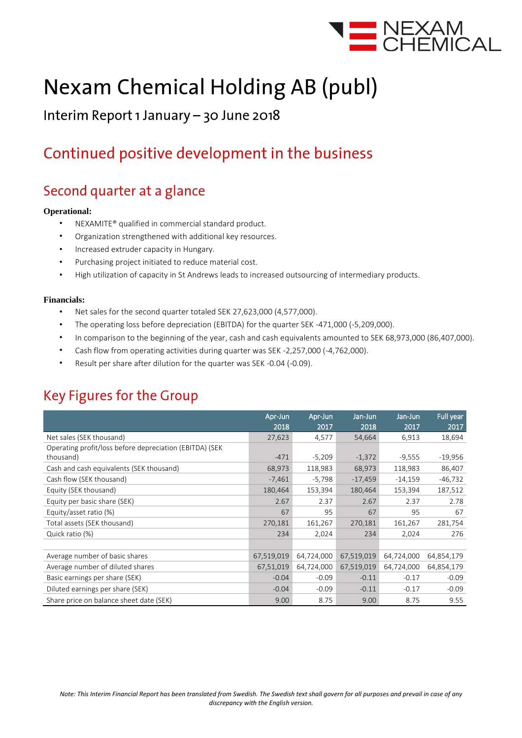

# **Nexam Chemical Holding AB (publ)**

### Interim Report 1 January - 30 June 2018

### Continued positive development in the business

### Second quarter at a glance

### **Operational:**

- NEXAMITE® qualified in commercial standard product.
- Organization strengthened with additional key resources.
- Increased extruder capacity in Hungary.
- Purchasing project initiated to reduce material cost.
- High utilization of capacity in St Andrews leads to increased outsourcing of intermediary products.

### **Financials:**

- Net sales for the second quarter totaled SEK 27,623,000 (4,577,000).
- The operating loss before depreciation (EBITDA) for the quarter SEK -471,000 (-5,209,000).
- In comparison to the beginning of the year, cash and cash equivalents amounted to SEK 68,973,000 (86,407,000).
- Cash flow from operating activities during quarter was SEK -2,257,000 (-4,762,000).
- Result per share after dilution for the quarter was SEK -0.04 (-0.09).

### **Key Figures for the Group**

|                                                         | Apr-Jun<br>2018 | Apr-Jun<br>2017 | Jan-Jun<br>2018 | Jan-Jun<br>2017 | Full year<br>2017 |
|---------------------------------------------------------|-----------------|-----------------|-----------------|-----------------|-------------------|
| Net sales (SEK thousand)                                | 27,623          | 4,577           | 54,664          | 6,913           | 18,694            |
| Operating profit/loss before depreciation (EBITDA) (SEK |                 |                 |                 |                 |                   |
| thousand)                                               | $-471$          | $-5,209$        | $-1,372$        | $-9,555$        | $-19,956$         |
| Cash and cash equivalents (SEK thousand)                | 68,973          | 118,983         | 68,973          | 118,983         | 86,407            |
| Cash flow (SEK thousand)                                | $-7,461$        | $-5,798$        | $-17,459$       | $-14,159$       | $-46,732$         |
| Equity (SEK thousand)                                   | 180,464         | 153,394         | 180,464         | 153,394         | 187,512           |
| Equity per basic share (SEK)                            | 2.67            | 2.37            | 2.67            | 2.37            | 2.78              |
| Equity/asset ratio (%)                                  | 67              | 95              | 67              | 95              | 67                |
| Total assets (SEK thousand)                             | 270,181         | 161,267         | 270,181         | 161,267         | 281,754           |
| Quick ratio (%)                                         | 234             | 2,024           | 234             | 2,024           | 276               |
|                                                         |                 |                 |                 |                 |                   |
| Average number of basic shares                          | 67,519,019      | 64,724,000      | 67,519,019      | 64,724,000      | 64,854,179        |
| Average number of diluted shares                        | 67,51,019       | 64,724,000      | 67,519,019      | 64,724,000      | 64,854,179        |
| Basic earnings per share (SEK)                          | $-0.04$         | $-0.09$         | $-0.11$         | $-0.17$         | $-0.09$           |
| Diluted earnings per share (SEK)                        | $-0.04$         | $-0.09$         | $-0.11$         | $-0.17$         | $-0.09$           |
| Share price on balance sheet date (SEK)                 | 9.00            | 8.75            | 9.00            | 8.75            | 9.55              |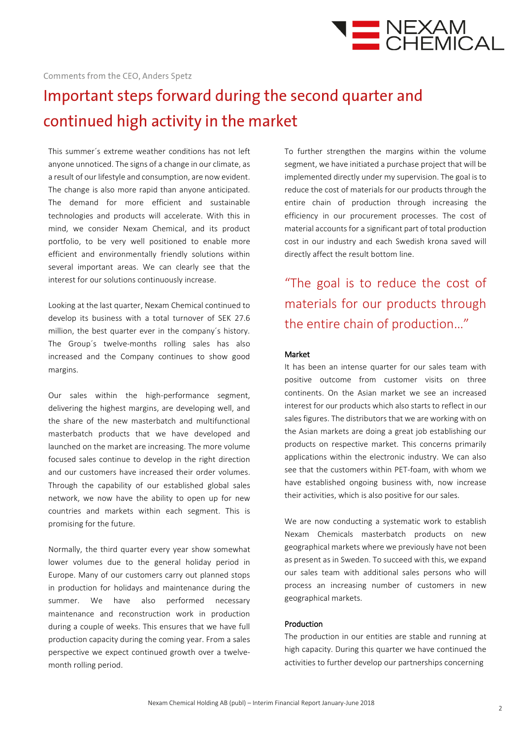

## Important steps forward during the second quarter and continued high activity in the market

This summer´s extreme weather conditions has not left anyone unnoticed. The signs of a change in our climate, as a result of our lifestyle and consumption, are now evident. The change is also more rapid than anyone anticipated. The demand for more efficient and sustainable technologies and products will accelerate. With this in mind, we consider Nexam Chemical, and its product portfolio, to be very well positioned to enable more efficient and environmentally friendly solutions within several important areas. We can clearly see that the interest for our solutions continuously increase.

Looking at the last quarter, Nexam Chemical continued to develop its business with a total turnover of SEK 27.6 million, the best quarter ever in the company´s history. The Group´s twelve-months rolling sales has also increased and the Company continues to show good margins.

Our sales within the high-performance segment, delivering the highest margins, are developing well, and the share of the new masterbatch and multifunctional masterbatch products that we have developed and launched on the market are increasing. The more volume focused sales continue to develop in the right direction and our customers have increased their order volumes. Through the capability of our established global sales network, we now have the ability to open up for new countries and markets within each segment. This is promising for the future.

Normally, the third quarter every year show somewhat lower volumes due to the general holiday period in Europe. Many of our customers carry out planned stops in production for holidays and maintenance during the summer. We have also performed necessary maintenance and reconstruction work in production during a couple of weeks. This ensures that we have full production capacity during the coming year. From a sales perspective we expect continued growth over a twelvemonth rolling period.

To further strengthen the margins within the volume segment, we have initiated a purchase project that will be implemented directly under my supervision. The goal is to reduce the cost of materials for our products through the entire chain of production through increasing the efficiency in our procurement processes. The cost of material accounts for a significant part of total production cost in our industry and each Swedish krona saved will directly affect the result bottom line.

"The goal is to reduce the cost of materials for our products through the entire chain of production…"

### Market

It has been an intense quarter for our sales team with positive outcome from customer visits on three continents. On the Asian market we see an increased interest for our products which also starts to reflect in our sales figures. The distributors that we are working with on the Asian markets are doing a great job establishing our products on respective market. This concerns primarily applications within the electronic industry. We can also see that the customers within PET-foam, with whom we have established ongoing business with, now increase their activities, which is also positive for our sales.

We are now conducting a systematic work to establish Nexam Chemicals masterbatch products on new geographical markets where we previously have not been as present as in Sweden. To succeed with this, we expand our sales team with additional sales persons who will process an increasing number of customers in new geographical markets.

### Production

The production in our entities are stable and running at high capacity. During this quarter we have continued the activities to further develop our partnerships concerning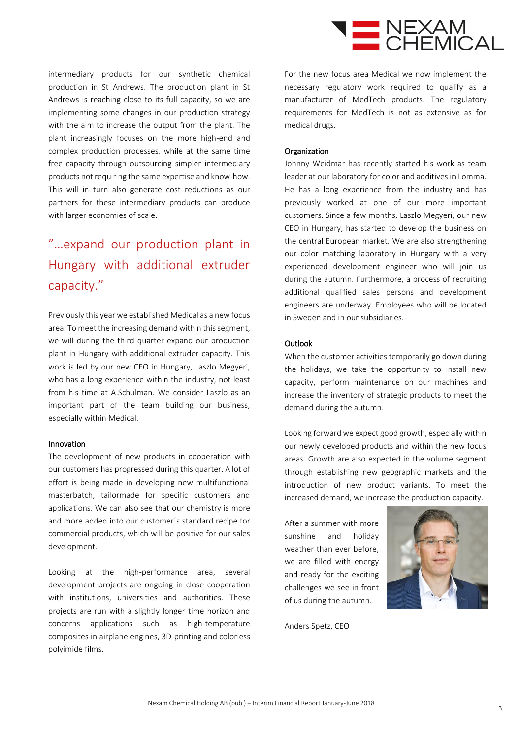

intermediary products for our synthetic chemical production in St Andrews. The production plant in St Andrews is reaching close to its full capacity, so we are implementing some changes in our production strategy with the aim to increase the output from the plant. The plant increasingly focuses on the more high-end and complex production processes, while at the same time free capacity through outsourcing simpler intermediary products not requiring the same expertise and know-how. This will in turn also generate cost reductions as our partners for these intermediary products can produce with larger economies of scale.

### "…expand our production plant in Hungary with additional extruder capacity."

Previously this year we established Medical as a new focus area. To meet the increasing demand within this segment, we will during the third quarter expand our production plant in Hungary with additional extruder capacity. This work is led by our new CEO in Hungary, Laszlo Megyeri, who has a long experience within the industry, not least from his time at A.Schulman. We consider Laszlo as an important part of the team building our business, especially within Medical.

### Innovation

The development of new products in cooperation with our customers has progressed during this quarter. A lot of effort is being made in developing new multifunctional masterbatch, tailormade for specific customers and applications. We can also see that our chemistry is more and more added into our customer´s standard recipe for commercial products, which will be positive for our sales development.

Looking at the high-performance area, several development projects are ongoing in close cooperation with institutions, universities and authorities. These projects are run with a slightly longer time horizon and concerns applications such as high-temperature composites in airplane engines, 3D-printing and colorless polyimide films.

For the new focus area Medical we now implement the necessary regulatory work required to qualify as a manufacturer of MedTech products. The regulatory requirements for MedTech is not as extensive as for medical drugs.

### **Organization**

Johnny Weidmar has recently started his work as team leader at our laboratory for color and additives in Lomma. He has a long experience from the industry and has previously worked at one of our more important customers. Since a few months, Laszlo Megyeri, our new CEO in Hungary, has started to develop the business on the central European market. We are also strengthening our color matching laboratory in Hungary with a very experienced development engineer who will join us during the autumn. Furthermore, a process of recruiting additional qualified sales persons and development engineers are underway. Employees who will be located in Sweden and in our subsidiaries.

### **Outlook**

When the customer activities temporarily go down during the holidays, we take the opportunity to install new capacity, perform maintenance on our machines and increase the inventory of strategic products to meet the demand during the autumn.

Looking forward we expect good growth, especially within our newly developed products and within the new focus areas. Growth are also expected in the volume segment through establishing new geographic markets and the introduction of new product variants. To meet the increased demand, we increase the production capacity.

After a summer with more sunshine and holiday weather than ever before, we are filled with energy and ready for the exciting challenges we see in front of us during the autumn.



Anders Spetz, CEO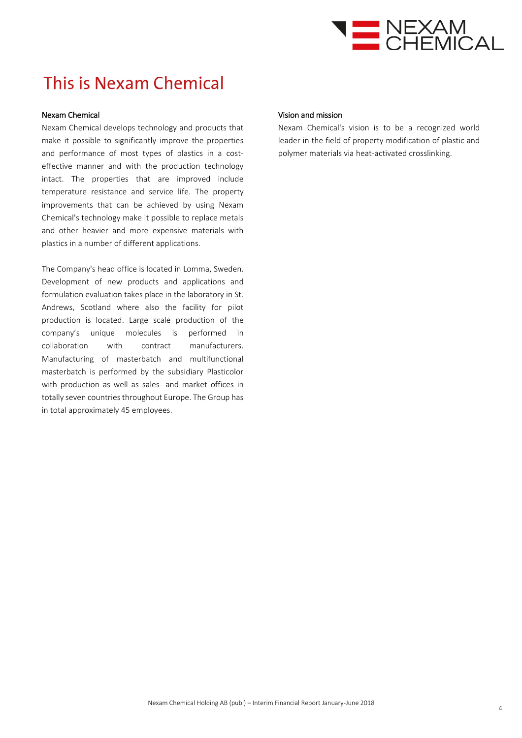

### This is Nexam Chemical

### Nexam Chemical

Nexam Chemical develops technology and products that make it possible to significantly improve the properties and performance of most types of plastics in a costeffective manner and with the production technology intact. The properties that are improved include temperature resistance and service life. The property improvements that can be achieved by using Nexam Chemical's technology make it possible to replace metals and other heavier and more expensive materials with plastics in a number of different applications.

The Company's head office is located in Lomma, Sweden. Development of new products and applications and formulation evaluation takes place in the laboratory in St. Andrews, Scotland where also the facility for pilot production is located. Large scale production of the company's unique molecules is performed in collaboration with contract manufacturers. Manufacturing of masterbatch and multifunctional masterbatch is performed by the subsidiary Plasticolor with production as well as sales- and market offices in totally seven countries throughout Europe. The Group has in total approximately 45 employees.

#### Vision and mission

Nexam Chemical's vision is to be a recognized world leader in the field of property modification of plastic and polymer materials via heat-activated crosslinking.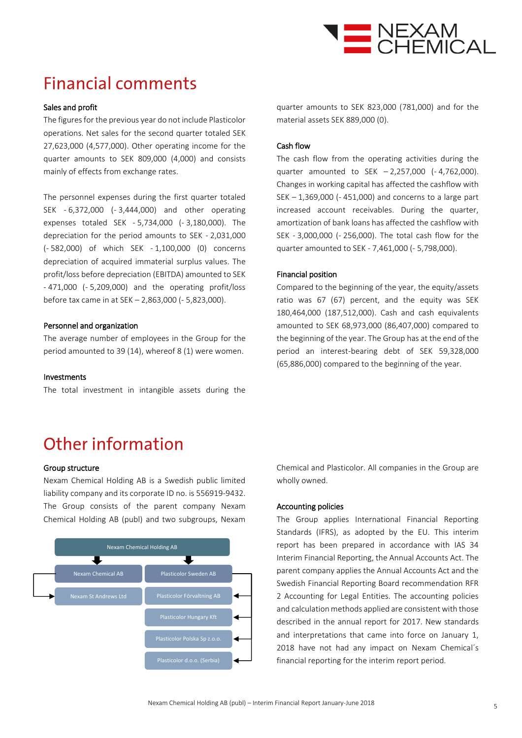

### **Financial comments**

### Sales and profit

The figures for the previous year do not include Plasticolor operations. Net sales for the second quarter totaled SEK 27,623,000 (4,577,000). Other operating income for the quarter amounts to SEK 809,000 (4,000) and consists mainly of effects from exchange rates.

The personnel expenses during the first quarter totaled SEK - 6,372,000 (- 3,444,000) and other operating expenses totaled SEK - 5,734,000 (- 3,180,000). The depreciation for the period amounts to SEK - 2,031,000 (- 582,000) of which SEK - 1,100,000 (0) concerns depreciation of acquired immaterial surplus values. The profit/loss before depreciation (EBITDA) amounted to SEK - 471,000 (- 5,209,000) and the operating profit/loss before tax came in at SEK – 2,863,000 (- 5,823,000).

### Personnel and organization

The average number of employees in the Group for the period amounted to 39 (14), whereof 8 (1) were women.

#### Investments

The total investment in intangible assets during the

quarter amounts to SEK 823,000 (781,000) and for the material assets SEK 889,000 (0).

### Cash flow

The cash flow from the operating activities during the quarter amounted to SEK – 2,257,000 (- 4,762,000). Changes in working capital has affected the cashflow with SEK – 1,369,000 (- 451,000) and concerns to a large part increased account receivables. During the quarter, amortization of bank loans has affected the cashflow with SEK - 3,000,000 (- 256,000). The total cash flow for the quarter amounted to SEK - 7,461,000 (- 5,798,000).

### Financial position

Compared to the beginning of the year, the equity/assets ratio was 67 (67) percent, and the equity was SEK 180,464,000 (187,512,000). Cash and cash equivalents amounted to SEK 68,973,000 (86,407,000) compared to the beginning of the year. The Group has at the end of the period an interest-bearing debt of SEK 59,328,000 (65,886,000) compared to the beginning of the year.

## Other information

### Group structure

Nexam Chemical Holding AB is a Swedish public limited liability company and its corporate ID no. is 556919-9432. The Group consists of the parent company Nexam Chemical Holding AB (publ) and two subgroups, Nexam



Chemical and Plasticolor. All companies in the Group are wholly owned.

#### Accounting policies

The Group applies International Financial Reporting Standards (IFRS), as adopted by the EU. This interim report has been prepared in accordance with IAS 34 Interim Financial Reporting, the Annual Accounts Act. The parent company applies the Annual Accounts Act and the Swedish Financial Reporting Board recommendation RFR 2 Accounting for Legal Entities. The accounting policies and calculation methods applied are consistent with those described in the annual report for 2017. New standards and interpretations that came into force on January 1, 2018 have not had any impact on Nexam Chemical´s financial reporting for the interim report period.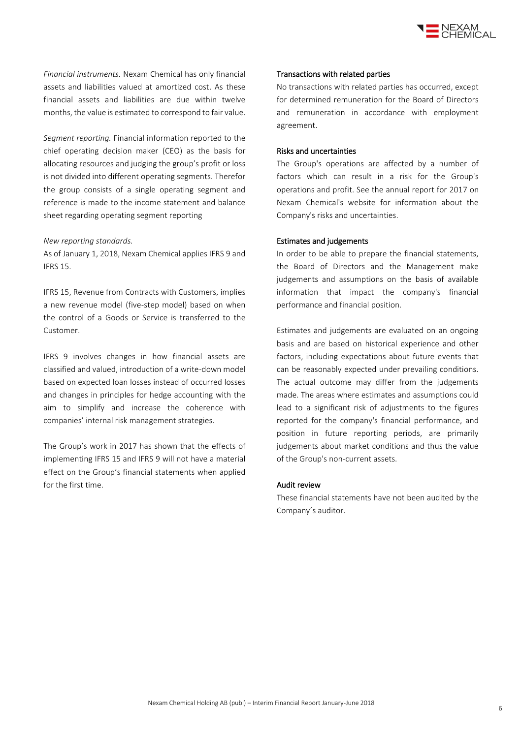

*Financial instruments.* Nexam Chemical has only financial assets and liabilities valued at amortized cost. As these financial assets and liabilities are due within twelve months, the value is estimated to correspond to fair value.

*Segment reporting.* Financial information reported to the chief operating decision maker (CEO) as the basis for allocating resources and judging the group's profit or loss is not divided into different operating segments. Therefor the group consists of a single operating segment and reference is made to the income statement and balance sheet regarding operating segment reporting

#### *New reporting standards.*

As of January 1, 2018, Nexam Chemical applies IFRS 9 and IFRS 15.

IFRS 15, Revenue from Contracts with Customers, implies a new revenue model (five-step model) based on when the control of a Goods or Service is transferred to the Customer.

IFRS 9 involves changes in how financial assets are classified and valued, introduction of a write-down model based on expected loan losses instead of occurred losses and changes in principles for hedge accounting with the aim to simplify and increase the coherence with companies' internal risk management strategies.

The Group's work in 2017 has shown that the effects of implementing IFRS 15 and IFRS 9 will not have a material effect on the Group's financial statements when applied for the first time.

#### Transactions with related parties

No transactions with related parties has occurred, except for determined remuneration for the Board of Directors and remuneration in accordance with employment agreement.

### Risks and uncertainties

The Group's operations are affected by a number of factors which can result in a risk for the Group's operations and profit. See the annual report for 2017 on Nexam Chemical's website for information about the Company's risks and uncertainties.

#### Estimates and judgements

In order to be able to prepare the financial statements, the Board of Directors and the Management make judgements and assumptions on the basis of available information that impact the company's financial performance and financial position.

Estimates and judgements are evaluated on an ongoing basis and are based on historical experience and other factors, including expectations about future events that can be reasonably expected under prevailing conditions. The actual outcome may differ from the judgements made. The areas where estimates and assumptions could lead to a significant risk of adjustments to the figures reported for the company's financial performance, and position in future reporting periods, are primarily judgements about market conditions and thus the value of the Group's non-current assets.

#### Audit review

These financial statements have not been audited by the Company´s auditor.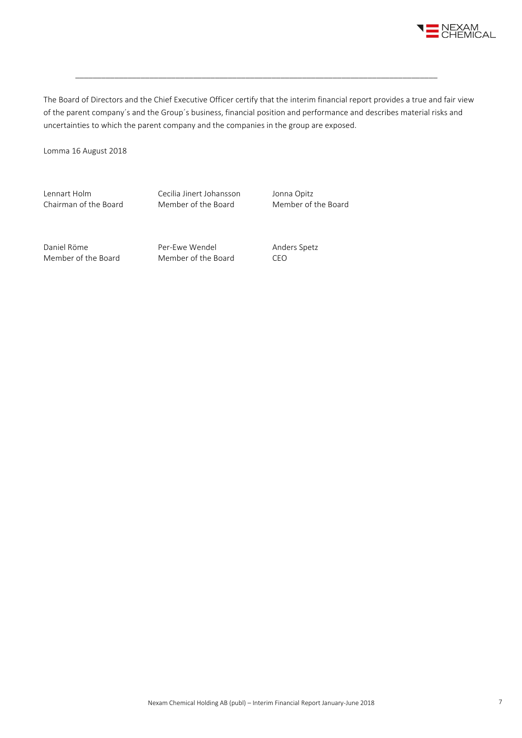

The Board of Directors and the Chief Executive Officer certify that the interim financial report provides a true and fair view of the parent company´s and the Group´s business, financial position and performance and describes material risks and uncertainties to which the parent company and the companies in the group are exposed.

\_\_\_\_\_\_\_\_\_\_\_\_\_\_\_\_\_\_\_\_\_\_\_\_\_\_\_\_\_\_\_\_\_\_\_\_\_\_\_\_\_\_\_\_\_\_\_\_\_\_\_\_\_\_\_\_\_\_\_\_\_\_\_\_\_\_\_\_\_\_\_\_\_\_\_\_\_\_\_\_\_\_\_

Lomma 16 August 2018

Lennart Holm Cecilia Jinert Johansson Jonna Opitz Chairman of the Board Member of the Board Member of the Board

Daniel Röme **Per-Ewe Wendel** Anders Spetz Member of the Board Member of the Board CEO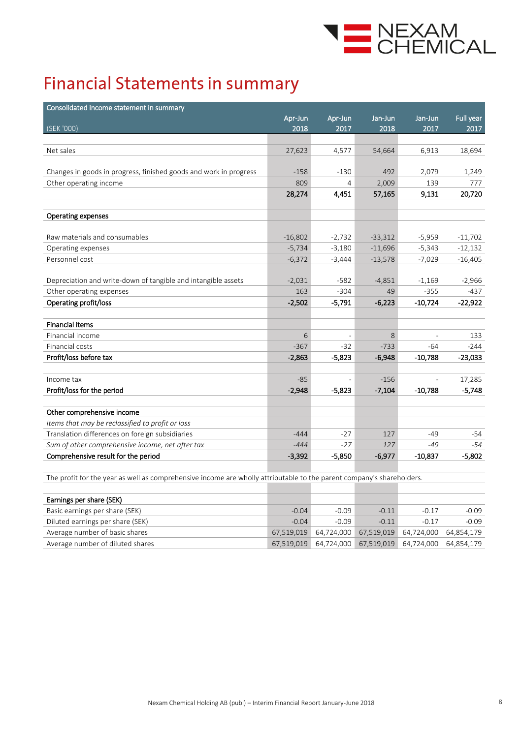

## **Financial Statements in summary**

| Consolidated income statement in summary                                       |           |          |           |                |           |
|--------------------------------------------------------------------------------|-----------|----------|-----------|----------------|-----------|
|                                                                                | Apr-Jun   | Apr-Jun  | Jan-Jun   | Jan-Jun        | Full year |
| (SEK '000)                                                                     | 2018      | 2017     | 2018      | 2017           | 2017      |
| Net sales                                                                      | 27,623    | 4,577    | 54,664    | 6,913          | 18,694    |
|                                                                                |           |          |           |                |           |
| Changes in goods in progress, finished goods and work in progress              | $-158$    | $-130$   | 492       | 2,079          | 1,249     |
| Other operating income                                                         | 809       | 4        | 2,009     | 139            | 777       |
|                                                                                | 28,274    | 4,451    | 57,165    | 9,131          | 20,720    |
|                                                                                |           |          |           |                |           |
| <b>Operating expenses</b>                                                      |           |          |           |                |           |
|                                                                                |           |          |           |                |           |
| Raw materials and consumables                                                  | $-16,802$ | $-2,732$ | $-33,312$ | $-5,959$       | $-11,702$ |
| Operating expenses                                                             | $-5,734$  | $-3,180$ | $-11,696$ | $-5,343$       | $-12,132$ |
| Personnel cost                                                                 | $-6,372$  | $-3,444$ | $-13,578$ | $-7,029$       | $-16,405$ |
|                                                                                |           |          |           |                |           |
| Depreciation and write-down of tangible and intangible assets                  | $-2,031$  | $-582$   | $-4,851$  | $-1,169$       | $-2,966$  |
| Other operating expenses                                                       | 163       | $-304$   | 49        | $-355$         | $-437$    |
| Operating profit/loss                                                          | $-2,502$  | $-5,791$ | $-6,223$  | $-10,724$      | $-22,922$ |
|                                                                                |           |          |           |                |           |
| <b>Financial items</b>                                                         |           |          |           |                |           |
| Financial income                                                               | 6         |          | 8         |                | 133       |
| Financial costs                                                                | $-367$    | $-32$    | $-733$    | $-64$          | $-244$    |
| Profit/loss before tax                                                         | $-2,863$  | $-5,823$ | $-6,948$  | $-10,788$      | $-23,033$ |
|                                                                                |           |          |           |                |           |
| Income tax                                                                     | $-85$     |          | $-156$    | $\overline{a}$ | 17,285    |
| Profit/loss for the period                                                     | $-2,948$  | $-5,823$ | $-7,104$  | $-10,788$      | $-5,748$  |
|                                                                                |           |          |           |                |           |
| Other comprehensive income<br>Items that may be reclassified to profit or loss |           |          |           |                |           |
| Translation differences on foreign subsidiaries                                | $-444$    | $-27$    | 127       | $-49$          | -54       |
| Sum of other comprehensive income, net after tax                               | $-444$    | $-27$    | 127       | $-49$          | $-54$     |
| Comprehensive result for the period                                            | $-3,392$  | $-5,850$ | $-6,977$  | $-10,837$      | $-5,802$  |
|                                                                                |           |          |           |                |           |

The profit for the year as well as comprehensive income are wholly attributable to the parent company's shareholders.

| Earnings per share (SEK)         |            |         |         |                                                                |         |
|----------------------------------|------------|---------|---------|----------------------------------------------------------------|---------|
| Basic earnings per share (SEK)   | $-0.04$    | $-0.09$ | $-0.11$ | $-0.17$                                                        | $-0.09$ |
| Diluted earnings per share (SEK) | $-0.04$    | $-0.09$ | $-0.11$ | $-0.17$                                                        | $-0.09$ |
| Average number of basic shares   |            |         |         | 67,519,019   64,724,000   67,519,019   64,724,000   64,854,179 |         |
| Average number of diluted shares | 67.519.019 |         |         | 64,724,000 67,519,019 64,724,000 64,854,179                    |         |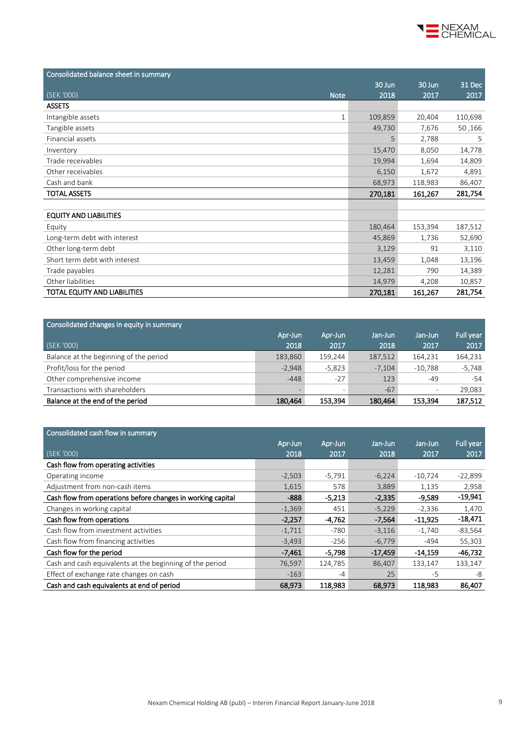

| Consolidated balance sheet in summary |         |         |         |
|---------------------------------------|---------|---------|---------|
|                                       | 30 Jun  | 30 Jun  | 31 Dec  |
| (SEK '000)<br><b>Note</b>             | 2018    | 2017    | 2017    |
| <b>ASSETS</b>                         |         |         |         |
| Intangible assets<br>$\mathbf{1}$     | 109,859 | 20,404  | 110,698 |
| Tangible assets                       | 49,730  | 7,676   | 50,166  |
| Financial assets                      | 5       | 2,788   | .5      |
| Inventory                             | 15,470  | 8,050   | 14,778  |
| Trade receivables                     | 19,994  | 1,694   | 14,809  |
| Other receivables                     | 6,150   | 1,672   | 4,891   |
| Cash and bank                         | 68,973  | 118,983 | 86,407  |
| <b>TOTAL ASSETS</b>                   | 270,181 | 161,267 | 281,754 |
|                                       |         |         |         |
| <b>EQUITY AND LIABILITIES</b>         |         |         |         |
| Equity                                | 180,464 | 153,394 | 187,512 |
| Long-term debt with interest          | 45,869  | 1,736   | 52,690  |
| Other long-term debt                  | 3,129   | 91      | 3,110   |
| Short term debt with interest         | 13,459  | 1,048   | 13,196  |
| Trade payables                        | 12,281  | 790     | 14,389  |
| Other liabilities                     | 14,979  | 4,208   | 10,857  |
| TOTAL EQUITY AND LIABILITIES          | 270,181 | 161,267 | 281,754 |

| Consolidated changes in equity in summary |          |          |          |           |           |
|-------------------------------------------|----------|----------|----------|-----------|-----------|
|                                           | Apr-Jun  | Apr-Jun  | Jan-Jun  | Jan-Jun   | Full year |
| (SEK '000)                                | 2018     | 2017     | 2018     | 2017      | 2017      |
| Balance at the beginning of the period    | 183,860  | 159,244  | 187,512  | 164,231   | 164,231   |
| Profit/loss for the period                | $-2,948$ | $-5,823$ | $-7,104$ | $-10.788$ | $-5,748$  |
| Other comprehensive income                | $-448$   | $-27$    | 123      | -49       | -54       |
| Transactions with shareholders            |          |          | $-67$    |           | 29.083    |
| Balance at the end of the period          | 180,464  | 153,394  | 180,464  | 153.394   | 187,512   |

| Consolidated cash flow in summary                           |          |          |           |           |           |
|-------------------------------------------------------------|----------|----------|-----------|-----------|-----------|
|                                                             | Apr-Jun  | Apr-Jun  | Jan-Jun   | Jan-Jun   | Full year |
| (SEK '000)                                                  | 2018     | 2017     | 2018      | 2017      | 2017      |
| Cash flow from operating activities                         |          |          |           |           |           |
| Operating income                                            | $-2,503$ | $-5,791$ | $-6,224$  | $-10.724$ | $-22,899$ |
| Adjustment from non-cash items                              | 1,615    | 578      | 3,889     | 1,135     | 2,958     |
| Cash flow from operations before changes in working capital | $-888$   | $-5,213$ | $-2,335$  | $-9,589$  | $-19,941$ |
| Changes in working capital                                  | $-1,369$ | 451      | $-5,229$  | $-2,336$  | 1,470     |
| Cash flow from operations                                   | $-2,257$ | $-4,762$ | $-7,564$  | $-11.925$ | $-18,471$ |
| Cash flow from investment activities                        | $-1,711$ | $-780$   | $-3,116$  | $-1,740$  | $-83,564$ |
| Cash flow from financing activities                         | $-3,493$ | $-256$   | $-6,779$  | $-494$    | 55,303    |
| Cash flow for the period                                    | $-7,461$ | $-5,798$ | $-17,459$ | $-14,159$ | $-46,732$ |
| Cash and cash equivalents at the beginning of the period    | 76,597   | 124,785  | 86,407    | 133,147   | 133,147   |
| Effect of exchange rate changes on cash                     | $-163$   | $-4$     | 25        | -5        | -8        |
| Cash and cash equivalents at end of period                  | 68,973   | 118,983  | 68,973    | 118,983   | 86,407    |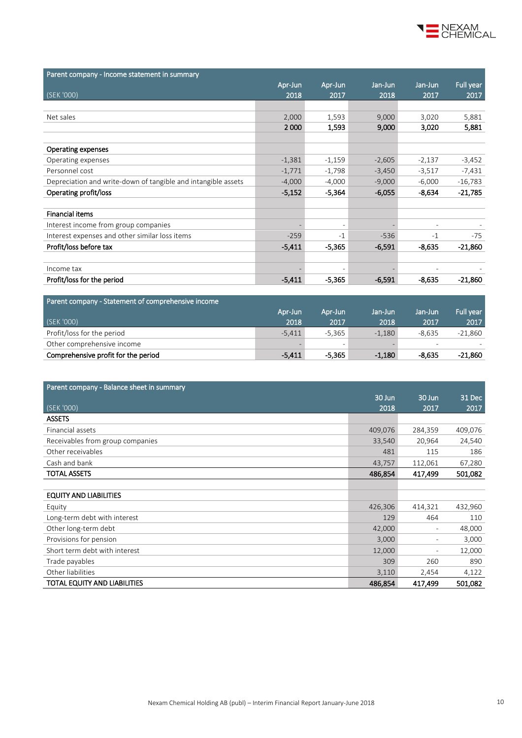

| Parent company - Income statement in summary                  |          |                          |          |          |           |
|---------------------------------------------------------------|----------|--------------------------|----------|----------|-----------|
|                                                               | Apr-Jun  | Apr-Jun                  | Jan-Jun  | Jan-Jun  | Full year |
| (SEK '000)                                                    | 2018     | 2017                     | 2018     | 2017     | 2017      |
|                                                               |          |                          |          |          |           |
| Net sales                                                     | 2,000    | 1,593                    | 9,000    | 3,020    | 5,881     |
|                                                               | 2000     | 1,593                    | 9,000    | 3,020    | 5,881     |
|                                                               |          |                          |          |          |           |
| <b>Operating expenses</b>                                     |          |                          |          |          |           |
| Operating expenses                                            | $-1,381$ | $-1,159$                 | $-2,605$ | $-2,137$ | $-3,452$  |
| Personnel cost                                                | $-1,771$ | $-1,798$                 | $-3,450$ | $-3,517$ | $-7,431$  |
| Depreciation and write-down of tangible and intangible assets | $-4,000$ | $-4,000$                 | $-9,000$ | $-6,000$ | $-16,783$ |
| Operating profit/loss                                         | $-5,152$ | $-5,364$                 | $-6,055$ | $-8,634$ | $-21,785$ |
|                                                               |          |                          |          |          |           |
| <b>Financial items</b>                                        |          |                          |          |          |           |
| Interest income from group companies                          |          | $\overline{\phantom{a}}$ |          |          |           |
| Interest expenses and other similar loss items                | $-259$   | -1                       | $-536$   | $-1$     | $-75$     |
| Profit/loss before tax                                        | $-5,411$ | $-5,365$                 | $-6,591$ | $-8,635$ | $-21,860$ |
|                                                               |          |                          |          |          |           |
| Income tax                                                    |          |                          |          |          |           |
| Profit/loss for the period                                    | $-5,411$ | $-5,365$                 | $-6,591$ | $-8,635$ | $-21,860$ |

| Parent company - Statement of comprehensive income |          |                          |          |                          |           |
|----------------------------------------------------|----------|--------------------------|----------|--------------------------|-----------|
|                                                    | Apr-Jun  | Apr-Jun                  | Jan-Jun  | Jan-Jun                  | Full year |
| (SEK '000)                                         | 2018     | 2017                     | 2018     | 2017                     | 2017      |
| Profit/loss for the period                         | $-5,411$ | -5.365                   | $-1,180$ | $-8.635$                 | $-21.860$ |
| Other comprehensive income                         |          | $\overline{\phantom{a}}$ |          | $\overline{\phantom{0}}$ |           |
| Comprehensive profit for the period                | $-5.411$ | $-5.365$                 | $-1.180$ | $-8.635$                 | $-21,860$ |

| Parent company - Balance sheet in summary |         |                          |         |
|-------------------------------------------|---------|--------------------------|---------|
|                                           | 30 Jun  | 30 Jun                   | 31 Dec  |
| (SEK '000)                                | 2018    | 2017                     | 2017    |
| <b>ASSETS</b>                             |         |                          |         |
| Financial assets                          | 409,076 | 284,359                  | 409,076 |
| Receivables from group companies          | 33,540  | 20,964                   | 24,540  |
| Other receivables                         | 481     | 115                      | 186     |
| Cash and bank                             | 43,757  | 112,061                  | 67,280  |
| <b>TOTAL ASSETS</b>                       | 486,854 | 417,499                  | 501,082 |
|                                           |         |                          |         |
| <b>EQUITY AND LIABILITIES</b>             |         |                          |         |
| Equity                                    | 426,306 | 414,321                  | 432,960 |
| Long-term debt with interest              | 129     | 464                      | 110     |
| Other long-term debt                      | 42,000  | $\overline{\phantom{a}}$ | 48,000  |
| Provisions for pension                    | 3,000   | $\overline{\phantom{a}}$ | 3,000   |
| Short term debt with interest             | 12,000  | $\overline{\phantom{m}}$ | 12,000  |
| Trade payables                            | 309     | 260                      | 890     |
| Other liabilities                         | 3,110   | 2,454                    | 4,122   |
| TOTAL EQUITY AND LIABILITIES              | 486,854 | 417,499                  | 501,082 |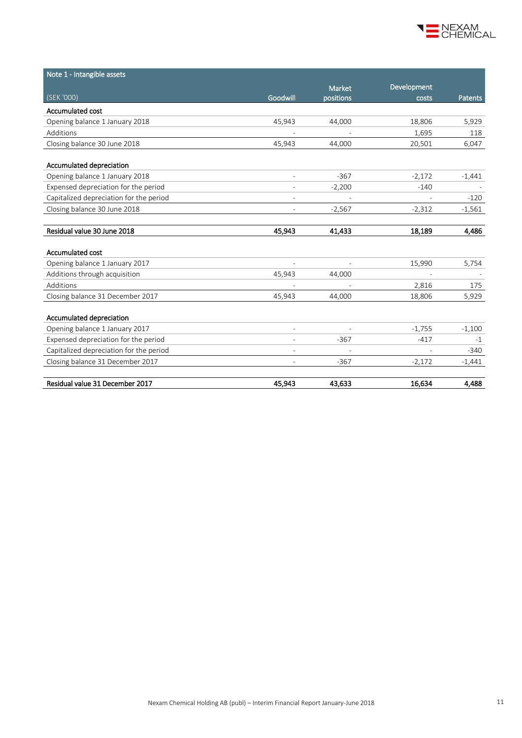

| Note 1 - Intangible assets              |                          |                |             |                |
|-----------------------------------------|--------------------------|----------------|-------------|----------------|
|                                         |                          | Market         | Development |                |
| (SEK '000)                              | Goodwill                 | positions      | costs       | <b>Patents</b> |
| Accumulated cost                        |                          |                |             |                |
| Opening balance 1 January 2018          | 45,943                   | 44,000         | 18,806      | 5,929          |
| Additions                               |                          |                | 1,695       | 118            |
| Closing balance 30 June 2018            | 45,943                   | 44,000         | 20,501      | 6,047          |
| Accumulated depreciation                |                          |                |             |                |
| Opening balance 1 January 2018          |                          | $-367$         | $-2,172$    | $-1,441$       |
| Expensed depreciation for the period    |                          | $-2,200$       | $-140$      |                |
| Capitalized depreciation for the period | $\overline{\phantom{a}}$ |                |             | $-120$         |
| Closing balance 30 June 2018            | $\overline{\phantom{a}}$ | $-2,567$       | $-2,312$    | $-1,561$       |
|                                         |                          |                |             |                |
| Residual value 30 June 2018             | 45,943                   | 41,433         | 18,189      | 4,486          |
| Accumulated cost                        |                          |                |             |                |
| Opening balance 1 January 2017          | $\overline{\phantom{a}}$ |                | 15,990      | 5,754          |
| Additions through acquisition           | 45,943                   | 44,000         |             |                |
| Additions                               |                          |                | 2,816       | 175            |
| Closing balance 31 December 2017        | 45,943                   | 44,000         | 18,806      | 5,929          |
| Accumulated depreciation                |                          |                |             |                |
| Opening balance 1 January 2017          | $\overline{\phantom{a}}$ | $\overline{a}$ | $-1,755$    | $-1,100$       |
| Expensed depreciation for the period    | $\overline{\phantom{a}}$ | $-367$         | $-417$      | $-1$           |
| Capitalized depreciation for the period | $\overline{a}$           |                |             | $-340$         |
| Closing balance 31 December 2017        |                          | $-367$         | $-2,172$    | $-1,441$       |
| Residual value 31 December 2017         | 45,943                   | 43,633         | 16,634      | 4,488          |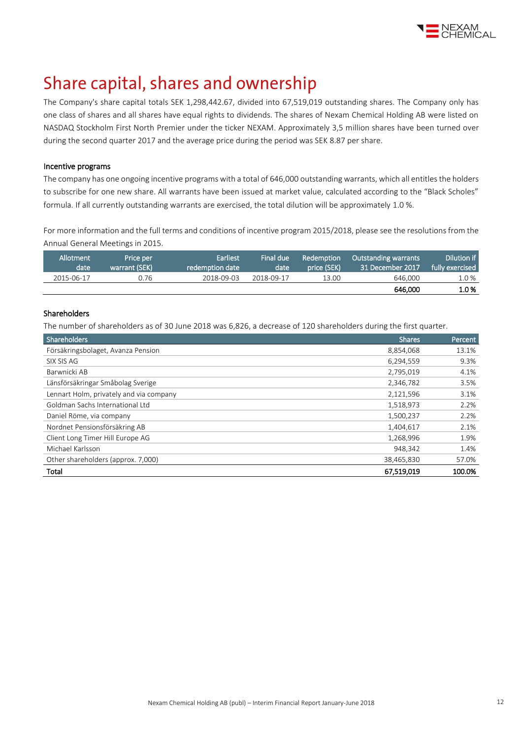

### Share capital, shares and ownership

The Company's share capital totals SEK 1,298,442.67, divided into 67,519,019 outstanding shares. The Company only has one class of shares and all shares have equal rights to dividends. The shares of Nexam Chemical Holding AB were listed on NASDAQ Stockholm First North Premier under the ticker NEXAM. Approximately 3,5 million shares have been turned over during the second quarter 2017 and the average price during the period was SEK 8.87 per share.

### Incentive programs

The company has one ongoing incentive programs with a total of 646,000 outstanding warrants, which all entitles the holders to subscribe for one new share. All warrants have been issued at market value, calculated according to the "Black Scholes" formula. If all currently outstanding warrants are exercised, the total dilution will be approximately 1.0 %.

For more information and the full terms and conditions of incentive program 2015/2018, please see the resolutions from the Annual General Meetings i[n 2015.](http://www.nexamchemical.com/secure/CMS/?language=en#context=epi.cms.contentdata:///245&viewsetting=active:///true)

| Allotment<br>date | Price per<br>warrant (SEK) | <b>Earliest</b><br>redemption date | Final due<br>date | Redemption<br>price (SEK) | Outstanding warrants<br>31 December 2017 | Dilution if<br>fully exercised |
|-------------------|----------------------------|------------------------------------|-------------------|---------------------------|------------------------------------------|--------------------------------|
| 2015-06-17        | 0.76                       | 2018-09-03                         | 2018-09-17        | 13.00                     | 646.000                                  | 1.0%                           |
|                   |                            |                                    |                   |                           | 646.000                                  | 1.0%                           |

### Shareholders

The number of shareholders as of 30 June 2018 was 6,826, a decrease of 120 shareholders during the first quarter.

| Shareholders                            | <b>Shares</b> | Percent |
|-----------------------------------------|---------------|---------|
| Försäkringsbolaget, Avanza Pension      | 8,854,068     | 13.1%   |
| SIX SIS AG                              | 6,294,559     | 9.3%    |
| Barwnicki AB                            | 2,795,019     | 4.1%    |
| Länsförsäkringar Småbolag Sverige       | 2,346,782     | 3.5%    |
| Lennart Holm, privately and via company | 2,121,596     | 3.1%    |
| Goldman Sachs International Ltd         | 1,518,973     | 2.2%    |
| Daniel Röme, via company                | 1,500,237     | 2.2%    |
| Nordnet Pensionsförsäkring AB           | 1,404,617     | 2.1%    |
| Client Long Timer Hill Europe AG        | 1,268,996     | 1.9%    |
| Michael Karlsson                        | 948.342       | 1.4%    |
| Other shareholders (approx. 7,000)      | 38,465,830    | 57.0%   |
| Total                                   | 67,519,019    | 100.0%  |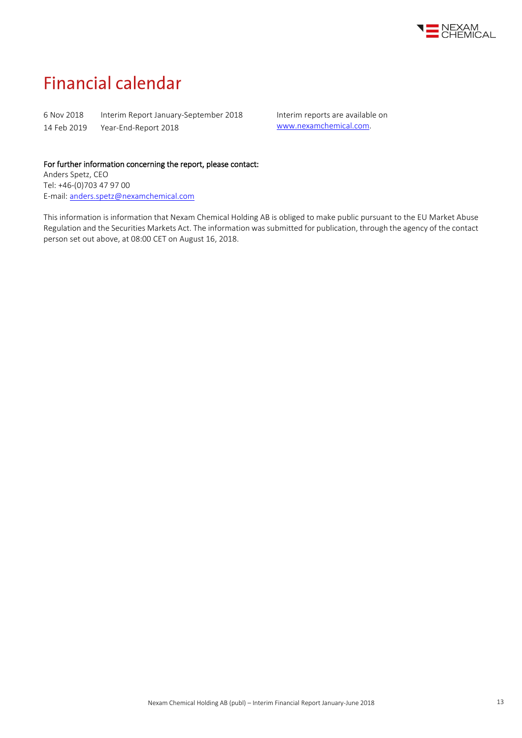

## **Financial calendar**

6 Nov 2018 Interim Report January-September 2018 14 Feb 2019 Year-End-Report 2018

Interim reports are available on [www.nexamchemical.com.](http://www.nexamchemical.com/)

### For further information concerning the report, please contact:

Anders Spetz, CEO Tel: +46-(0)703 47 97 00 E-mail[: anders.spetz@nexamchemical.com](mailto:anders.spetz@nexamchemical.com)

This information is information that Nexam Chemical Holding AB is obliged to make public pursuant to the EU Market Abuse Regulation and the Securities Markets Act. The information was submitted for publication, through the agency of the contact person set out above, at 08:00 CET on August 16, 2018.